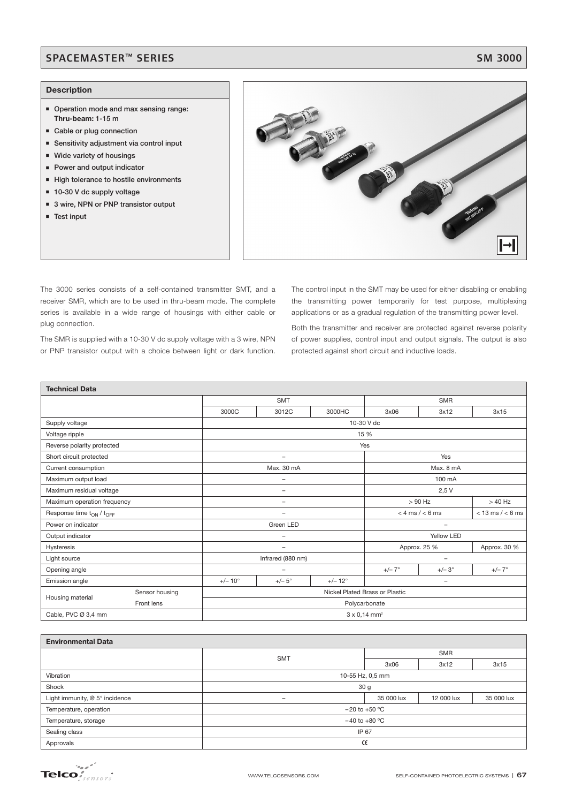# SPACEMASTER™ SERIES SM 3000

### **Description**

- **Operation mode and max sensing range: Thru-beam: 1-15 m**
- **Example or plug connection**
- **Sensitivity adjustment via control input**
- **Wide variety of housings**
- **Power and output indicator**
- **High tolerance to hostile environments**
- 10-30 V dc supply voltage
- 3 wire, NPN or PNP transistor output
- **Test input**



The 3000 series consists of a self-contained transmitter SMT, and a receiver SMR, which are to be used in thru-beam mode. The complete series is available in a wide range of housings with either cable or plug connection.

The SMR is supplied with a 10-30 V dc supply voltage with a 3 wire, NPN or PNP transistor output with a choice between light or dark function.

The control input in the SMT may be used for either disabling or enabling the transmitting power temporarily for test purpose, multiplexing applications or as a gradual regulation of the transmitting power level.

Both the transmitter and receiver are protected against reverse polarity of power supplies, control input and output signals. The output is also protected against short circuit and inductive loads.

| <b>Technical Data</b>                            |                                 |                                                           |                   |                                             |                          |                 |              |  |
|--------------------------------------------------|---------------------------------|-----------------------------------------------------------|-------------------|---------------------------------------------|--------------------------|-----------------|--------------|--|
|                                                  |                                 |                                                           | <b>SMT</b>        |                                             | <b>SMR</b>               |                 |              |  |
|                                                  |                                 | 3000C                                                     | 3012C             | 3000HC                                      | 3x06                     | 3x12            | 3x15         |  |
| Supply voltage                                   |                                 | 10-30 V dc                                                |                   |                                             |                          |                 |              |  |
| Voltage ripple                                   |                                 | 15 %                                                      |                   |                                             |                          |                 |              |  |
| Reverse polarity protected                       |                                 | Yes                                                       |                   |                                             |                          |                 |              |  |
| Short circuit protected                          |                                 |                                                           | -                 |                                             | Yes                      |                 |              |  |
| Current consumption                              |                                 |                                                           | Max. 30 mA        |                                             | Max. 8 mA                |                 |              |  |
| Maximum output load                              |                                 | -                                                         |                   | 100 mA                                      |                          |                 |              |  |
| Maximum residual voltage                         |                                 |                                                           |                   | 2,5V                                        |                          |                 |              |  |
| Maximum operation frequency                      |                                 | $\overline{\phantom{a}}$                                  |                   |                                             | $>90$ Hz<br>$>40$ Hz     |                 |              |  |
| Response time t <sub>ON</sub> / t <sub>OFF</sub> | $\overline{\phantom{0}}$        |                                                           |                   | $<$ 4 ms $/$ < 6 ms<br>$<$ 13 ms / $<$ 6 ms |                          |                 |              |  |
| Power on indicator                               |                                 | Green LED                                                 |                   |                                             | -                        |                 |              |  |
| Output indicator                                 |                                 |                                                           |                   |                                             | Yellow LED               |                 |              |  |
| Hysteresis                                       |                                 |                                                           | -                 |                                             | Approx. 25 %             |                 | Approx. 30 % |  |
| Light source                                     |                                 |                                                           | Infrared (880 nm) |                                             | $\overline{\phantom{0}}$ |                 |              |  |
| Opening angle                                    | $\overline{\phantom{0}}$        |                                                           |                   | $+/- 7^{\circ}$                             | $+/-3^{\circ}$           | $+/- 7^{\circ}$ |              |  |
| Emission angle                                   |                                 | $+/- 10^{\circ}$<br>$+/- 12^{\circ}$<br>$+/-5^\circ$<br>- |                   |                                             |                          |                 |              |  |
| Housing material                                 | Sensor housing                  | Nickel Plated Brass or Plastic                            |                   |                                             |                          |                 |              |  |
|                                                  | Front lens                      | Polycarbonate                                             |                   |                                             |                          |                 |              |  |
| Cable, PVC Ø 3,4 mm                              | $3 \times 0,14$ mm <sup>2</sup> |                                                           |                   |                                             |                          |                 |              |  |

| <b>Environmental Data</b>      |                                             |                  |      |      |  |  |  |  |
|--------------------------------|---------------------------------------------|------------------|------|------|--|--|--|--|
|                                | <b>SMT</b>                                  | <b>SMR</b>       |      |      |  |  |  |  |
|                                |                                             | 3x06             | 3x12 | 3x15 |  |  |  |  |
| Vibration                      |                                             | 10-55 Hz, 0,5 mm |      |      |  |  |  |  |
| Shock                          | 30 <sub>g</sub>                             |                  |      |      |  |  |  |  |
| Light immunity, @ 5° incidence | 35 000 lux<br>35 000 lux<br>12 000 lux<br>- |                  |      |      |  |  |  |  |
| Temperature, operation         | $-20$ to $+50$ °C                           |                  |      |      |  |  |  |  |
| Temperature, storage           | $-40$ to $+80$ °C                           |                  |      |      |  |  |  |  |
| Sealing class                  | IP 67                                       |                  |      |      |  |  |  |  |
| Approvals                      | Œ                                           |                  |      |      |  |  |  |  |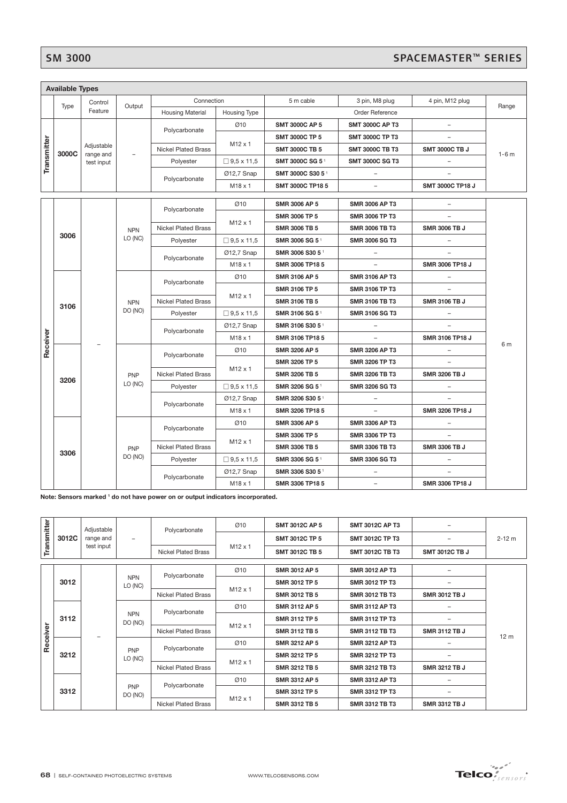# SM 3000<br>SPACEMASTER™ SERIES

|             | <b>Available Types</b> |                                                                   |                                         |                                                                                |                     |                       |                            |                          |                       |                        |                       |                 |                 |  |            |
|-------------|------------------------|-------------------------------------------------------------------|-----------------------------------------|--------------------------------------------------------------------------------|---------------------|-----------------------|----------------------------|--------------------------|-----------------------|------------------------|-----------------------|-----------------|-----------------|--|------------|
|             |                        | Control                                                           | Output                                  | Connection                                                                     |                     | 5 m cable             | 3 pin, M8 plug             | 4 pin, M12 plug          |                       |                        |                       |                 |                 |  |            |
|             | Type                   | Feature                                                           |                                         | <b>Housing Material</b>                                                        | <b>Housing Type</b> |                       | Order Reference            |                          | Range                 |                        |                       |                 |                 |  |            |
|             |                        |                                                                   |                                         |                                                                                | Ø10                 | <b>SMT 3000C AP 5</b> | <b>SMT 3000C AP T3</b>     | $\overline{\phantom{a}}$ |                       |                        |                       |                 |                 |  |            |
|             |                        |                                                                   |                                         | Polycarbonate                                                                  |                     | <b>SMT 3000C TP 5</b> | <b>SMT 3000C TP T3</b>     |                          |                       |                        |                       |                 |                 |  |            |
| Transmitter |                        | Adjustable                                                        |                                         | <b>Nickel Plated Brass</b>                                                     | $M12 \times 1$      | <b>SMT 3000C TB 5</b> | <b>SMT 3000C TB T3</b>     | <b>SMT 3000C TB J</b>    |                       |                        |                       |                 |                 |  |            |
|             | 3000C                  | range and<br>test input                                           |                                         | Polyester                                                                      | $□$ 9,5 x 11,5      | SMT 3000C SG 51       | <b>SMT 3000C SG T3</b>     |                          | $1-6$ m               |                        |                       |                 |                 |  |            |
|             |                        |                                                                   |                                         |                                                                                | Ø12,7 Snap          | SMT 3000C S30 5       |                            |                          |                       |                        |                       |                 |                 |  |            |
|             |                        |                                                                   |                                         | Polycarbonate                                                                  | M18 x 1             | SMT 3000C TP18 5      | $\overline{a}$             | SMT 3000C TP18 J         |                       |                        |                       |                 |                 |  |            |
|             |                        |                                                                   |                                         |                                                                                |                     |                       |                            |                          |                       |                        |                       |                 |                 |  |            |
|             |                        |                                                                   |                                         | Polycarbonate                                                                  | Ø10                 | <b>SMR 3006 AP 5</b>  | <b>SMR 3006 AP T3</b>      |                          |                       |                        |                       |                 |                 |  |            |
|             |                        |                                                                   |                                         |                                                                                | M12 x 1             | SMR 3006 TP 5         | SMR 3006 TP T3             |                          |                       |                        |                       |                 |                 |  |            |
|             |                        |                                                                   | <b>NPN</b>                              | <b>Nickel Plated Brass</b>                                                     |                     | <b>SMR 3006 TB 5</b>  | <b>SMR 3006 TB T3</b>      | <b>SMR 3006 TB J</b>     |                       |                        |                       |                 |                 |  |            |
|             | 3006                   |                                                                   | LO (NC)                                 | Polyester                                                                      | $\Box$ 9,5 x 11,5   | SMR 3006 SG 51        | <b>SMR 3006 SG T3</b>      |                          |                       |                        |                       |                 |                 |  |            |
|             |                        |                                                                   |                                         |                                                                                | 012,7 Snap          | SMR 3006 S30 5 1      |                            |                          |                       |                        |                       |                 |                 |  |            |
|             |                        |                                                                   |                                         | Polycarbonate                                                                  | M18 x 1             | SMR 3006 TP18 5       |                            | SMR 3006 TP18 J          |                       |                        |                       |                 |                 |  |            |
|             |                        |                                                                   |                                         |                                                                                | Ø10                 | <b>SMR 3106 AP 5</b>  | <b>SMR 3106 AP T3</b>      |                          |                       |                        |                       |                 |                 |  |            |
|             |                        |                                                                   |                                         | Polycarbonate                                                                  |                     | SMR 3106 TP 5         | <b>SMR 3106 TP T3</b>      |                          |                       |                        |                       |                 |                 |  |            |
|             |                        |                                                                   | <b>NPN</b>                              | <b>Nickel Plated Brass</b>                                                     | M12 x 1             | SMR 3106 TB 5         | <b>SMR 3106 TB T3</b>      | <b>SMR 3106 TB J</b>     |                       |                        |                       |                 |                 |  |            |
|             | 3106                   |                                                                   | DO (NO)                                 | Polyester                                                                      | $\Box$ 9.5 x 11.5   | SMR 3106 SG 51        | <b>SMR 3106 SG T3</b>      | $\qquad \qquad -$        |                       |                        |                       |                 |                 |  |            |
|             |                        |                                                                   |                                         |                                                                                | Ø12,7 Snap          | SMR 3106 S30 51       | $\overline{\phantom{a}}$   |                          |                       |                        |                       |                 |                 |  |            |
|             |                        |                                                                   |                                         | Polycarbonate                                                                  | M18 x 1             | SMR 3106 TP18 5       | $\qquad \qquad -$          | SMR 3106 TP18 J          |                       |                        |                       |                 |                 |  |            |
| Receiver    |                        |                                                                   |                                         |                                                                                | Ø10                 | SMR 3206 AP 5         | <b>SMR 3206 AP T3</b>      |                          | 6 m                   |                        |                       |                 |                 |  |            |
|             |                        |                                                                   |                                         | Polycarbonate                                                                  |                     | SMR 3206 TP 5         | SMR 3206 TP T3             |                          |                       |                        |                       |                 |                 |  |            |
|             |                        |                                                                   |                                         | <b>Nickel Plated Brass</b>                                                     | M <sub>12</sub> x 1 | SMR 3206 TB 5         | <b>SMR 3206 TB T3</b>      | SMR 3206 TB J            |                       |                        |                       |                 |                 |  |            |
|             | 3206                   |                                                                   | LO (NC)                                 |                                                                                | PNP                 | Polyester             | $\Box$ 9,5 x 11,5          | SMR 3206 SG 51           | <b>SMR 3206 SG T3</b> |                        |                       |                 |                 |  |            |
|             | 3306                   |                                                                   |                                         |                                                                                |                     |                       |                            |                          |                       |                        |                       |                 |                 |  |            |
|             |                        |                                                                   |                                         | Polycarbonate                                                                  | Ø12,7 Snap          | SMR 3206 S30 5 1      |                            |                          |                       |                        |                       |                 |                 |  |            |
|             |                        |                                                                   |                                         |                                                                                | M18 x 1             | SMR 3206 TP18 5       | $\qquad \qquad -$          | SMR 3206 TP18 J          |                       |                        |                       |                 |                 |  |            |
|             |                        |                                                                   | PNP<br>DO (NO)                          | Polycarbonate                                                                  | Ø10                 | SMR 3306 AP 5         | <b>SMR 3306 AP T3</b>      | $\overline{\phantom{0}}$ |                       |                        |                       |                 |                 |  |            |
|             |                        |                                                                   |                                         |                                                                                | M <sub>12</sub> x 1 | SMR 3306 TP 5         | SMR 3306 TP T3             |                          |                       |                        |                       |                 |                 |  |            |
|             |                        |                                                                   |                                         | <b>Nickel Plated Brass</b>                                                     |                     | <b>SMR 3306 TB 5</b>  | <b>SMR 3306 TB T3</b>      | <b>SMR 3306 TB J</b>     |                       |                        |                       |                 |                 |  |            |
|             |                        |                                                                   |                                         |                                                                                |                     | Polyester             | $\Box$ 9,5 x 11,5          | SMR 3306 SG 51           | <b>SMR 3306 SG T3</b> |                        |                       |                 |                 |  |            |
|             |                        |                                                                   |                                         |                                                                                |                     |                       |                            |                          |                       | Polycarbonate          | Ø12,7 Snap            | SMR 3306 S30 51 | $\overline{a}$  |  |            |
|             |                        |                                                                   |                                         |                                                                                | M18 x 1             | SMR 3306 TP18 5       | $\overline{\phantom{0}}$   | SMR 3306 TP18 J          |                       |                        |                       |                 |                 |  |            |
|             |                        |                                                                   |                                         | Note: Sensors marked 1 do not have power on or output indicators incorporated. |                     |                       |                            |                          |                       |                        |                       |                 |                 |  |            |
|             |                        |                                                                   |                                         |                                                                                |                     |                       |                            |                          |                       |                        |                       |                 |                 |  |            |
|             |                        | Adjustable<br>range and<br>$\overline{\phantom{a}}$<br>test input |                                         |                                                                                |                     | Ø10                   | SMT 3012C AP 5             | <b>SMT 3012C AP T3</b>   | $\overline{a}$        |                        |                       |                 |                 |  |            |
|             | 3012C                  |                                                                   |                                         |                                                                                |                     |                       |                            |                          |                       | Polycarbonate          |                       | SMT 3012C TP 5  | SMT 3012C TP T3 |  | $2 - 12$ m |
| Transmitter |                        |                                                                   |                                         |                                                                                |                     |                       |                            | $M12 \times 1$           | <b>SMT 3012C TB 5</b> | <b>SMT 3012C TB T3</b> | <b>SMT 3012C TB J</b> |                 |                 |  |            |
|             |                        |                                                                   |                                         | <b>Nickel Plated Brass</b>                                                     |                     |                       |                            |                          |                       |                        |                       |                 |                 |  |            |
|             |                        |                                                                   |                                         | Polycarbonate                                                                  | Ø10                 | SMR 3012 AP 5         | <b>SMR 3012 AP T3</b>      | $\overline{\phantom{a}}$ |                       |                        |                       |                 |                 |  |            |
|             | 3012                   |                                                                   | <b>NPN</b><br>LO (NC)                   |                                                                                |                     |                       |                            |                          |                       | SMR 3012 TP 5          | SMR 3012 TP T3        |                 |                 |  |            |
|             |                        |                                                                   |                                         |                                                                                |                     |                       | <b>Nickel Plated Brass</b> | M12 x 1                  | SMR 3012 TB 5         | <b>SMR 3012 TB T3</b>  | SMR 3012 TB J         |                 |                 |  |            |
|             | 3112                   |                                                                   |                                         |                                                                                | Ø10                 | SMR 3112 AP 5         | <b>SMR 3112 AP T3</b>      |                          |                       |                        |                       |                 |                 |  |            |
|             |                        |                                                                   | <b>NPN</b><br>DO (NO)                   | Polycarbonate                                                                  |                     | SMR 3112 TP 5         | <b>SMR 3112 TP T3</b>      |                          |                       |                        |                       |                 |                 |  |            |
| Receiver    |                        |                                                                   |                                         | Nickel Plated Brass                                                            | M <sub>12</sub> x 1 | <b>SMR 3112 TB 5</b>  | <b>SMR 3112 TB T3</b>      | <b>SMR 3112 TB J</b>     |                       |                        |                       |                 |                 |  |            |
|             |                        |                                                                   |                                         |                                                                                |                     | Ø10                   | SMR 3212 AP 5              | <b>SMR 3212 AP T3</b>    |                       | 12 <sub>m</sub>        |                       |                 |                 |  |            |
|             | 3212<br>3312           |                                                                   | <b>PNP</b><br>LO (NC)<br>PNP<br>DO (NO) | Polycarbonate<br>Nickel Plated Brass                                           |                     | SMR 3212 TP 5         | SMR 3212 TP T3             |                          |                       |                        |                       |                 |                 |  |            |
|             |                        |                                                                   |                                         |                                                                                | M12 x 1             | SMR 3212 TB 5         | <b>SMR 3212 TB T3</b>      | SMR 3212 TB J            |                       |                        |                       |                 |                 |  |            |
|             |                        |                                                                   |                                         |                                                                                | Ø10                 | SMR 3312 AP 5         | <b>SMR 3312 AP T3</b>      | $\overline{\phantom{a}}$ |                       |                        |                       |                 |                 |  |            |
|             |                        |                                                                   |                                         | Polycarbonate<br><b>Nickel Plated Brass</b>                                    | M12 x 1             | SMR 3312 TP 5         | <b>SMR 3312 TP T3</b>      |                          |                       |                        |                       |                 |                 |  |            |
|             |                        |                                                                   |                                         |                                                                                |                     | SMR 3312 TB 5         | <b>SMR 3312 TB T3</b>      | SMR 3312 TB J            |                       |                        |                       |                 |                 |  |            |
|             |                        |                                                                   |                                         |                                                                                |                     |                       |                            |                          |                       |                        |                       |                 |                 |  |            |
|             |                        |                                                                   |                                         |                                                                                |                     |                       |                            |                          |                       |                        |                       |                 |                 |  |            |
|             |                        | 68   SELF-CONTAINED PHOTOELECTRIC SYSTEMS                         |                                         |                                                                                |                     | WWW.TELCOSENSORS.COM  |                            | <b>Telco</b>             |                       |                        |                       |                 |                 |  |            |

|             | 3012C | Adjustable<br>range and<br>test input |                          | Polycarbonate                               | Ø10                                                            | <b>SMT 3012C AP 5</b> | <b>SMT 3012C AP T3</b> |                        |                       |  |                 |               |                       |  |  |
|-------------|-------|---------------------------------------|--------------------------|---------------------------------------------|----------------------------------------------------------------|-----------------------|------------------------|------------------------|-----------------------|--|-----------------|---------------|-----------------------|--|--|
| Transmitter |       |                                       | $\overline{\phantom{0}}$ |                                             |                                                                | <b>SMT 3012C TP 5</b> | <b>SMT 3012C TP T3</b> |                        | $2 - 12$ m            |  |                 |               |                       |  |  |
|             |       |                                       |                          |                                             | <b>Nickel Plated Brass</b>                                     | $M12 \times 1$        | <b>SMT 3012C TB 5</b>  | <b>SMT 3012C TB T3</b> | <b>SMT 3012C TB J</b> |  |                 |               |                       |  |  |
|             |       |                                       |                          |                                             |                                                                |                       |                        |                        |                       |  |                 |               |                       |  |  |
|             | 3012  |                                       | <b>NPN</b><br>LO (NC)    | Polycarbonate                               | Ø10                                                            | SMR 3012 AP 5         | <b>SMR 3012 AP T3</b>  |                        |                       |  |                 |               |                       |  |  |
|             |       |                                       |                          |                                             | <b>SMR 3012 TP 5</b><br>$M12 \times 1$<br><b>SMR 3012 TB 5</b> | SMR 3012 TP T3        |                        |                        |                       |  |                 |               |                       |  |  |
|             |       |                                       |                          | <b>Nickel Plated Brass</b>                  |                                                                |                       | <b>SMR 3012 TB T3</b>  | <b>SMR 3012 TB J</b>   |                       |  |                 |               |                       |  |  |
|             | 3112  |                                       |                          | Polycarbonate<br><b>Nickel Plated Brass</b> | Ø10                                                            | <b>SMR 3112 AP 5</b>  | <b>SMR 3112 AP T3</b>  |                        |                       |  |                 |               |                       |  |  |
|             |       |                                       | <b>NPN</b><br>DO (NO)    |                                             | $M12 \times 1$                                                 | <b>SMR 3112 TP 5</b>  | <b>SMR 3112 TP T3</b>  |                        |                       |  |                 |               |                       |  |  |
|             |       |                                       |                          |                                             |                                                                | <b>SMR 3112 TB 5</b>  | <b>SMR 3112 TB T3</b>  | <b>SMR 3112 TB J</b>   |                       |  |                 |               |                       |  |  |
| Receiver    | 3212  |                                       |                          |                                             |                                                                |                       | Ø10                    | SMR 3212 AP 5          | <b>SMR 3212 AP T3</b> |  | 12 <sub>m</sub> |               |                       |  |  |
|             |       |                                       | <b>PNP</b><br>LO (NC)    | Polycarbonate                               |                                                                | SMR 3212 TP 5         | <b>SMR 3212 TP T3</b>  |                        |                       |  |                 |               |                       |  |  |
|             |       |                                       |                          | <b>Nickel Plated Brass</b>                  | $M12 \times 1$                                                 | <b>SMR 3212 TB 5</b>  | <b>SMR 3212 TB T3</b>  | <b>SMR 3212 TB J</b>   |                       |  |                 |               |                       |  |  |
|             | 3312  |                                       |                          |                                             |                                                                |                       |                        |                        |                       |  | Ø10             | SMR 3312 AP 5 | <b>SMR 3312 AP T3</b> |  |  |
|             |       |                                       | <b>PNP</b><br>DO (NO)    | Polycarbonate                               |                                                                | <b>SMR 3312 TP 5</b>  | <b>SMR 3312 TP T3</b>  |                        |                       |  |                 |               |                       |  |  |
|             |       |                                       |                          | <b>Nickel Plated Brass</b>                  | $M12 \times 1$                                                 | <b>SMR 3312 TB 5</b>  | <b>SMR 3312 TB T3</b>  | <b>SMR 3312 TB J</b>   |                       |  |                 |               |                       |  |  |

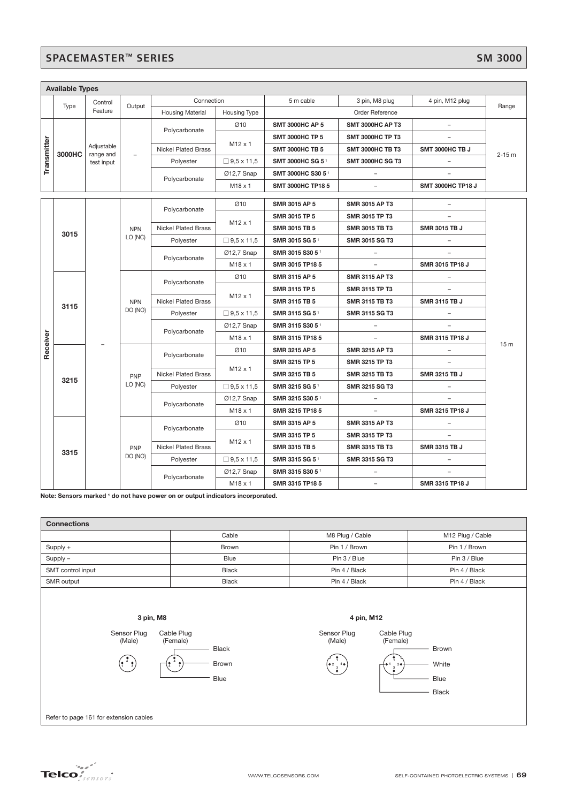# SPACEMASTER™ SERIES SM 3000

|             | <b>Available Types</b> |                                       |                          |                            |                                              |                               |                         |                          |                |                       |                |                       |               |                |                 |  |                 |  |  |     |               |                       |  |                 |
|-------------|------------------------|---------------------------------------|--------------------------|----------------------------|----------------------------------------------|-------------------------------|-------------------------|--------------------------|----------------|-----------------------|----------------|-----------------------|---------------|----------------|-----------------|--|-----------------|--|--|-----|---------------|-----------------------|--|-----------------|
|             | Type                   | Control<br>Feature                    | Output                   | Connection                 |                                              | 5 m cable                     | 3 pin, M8 plug          | 4 pin, M12 plug          | Range          |                       |                |                       |               |                |                 |  |                 |  |  |     |               |                       |  |                 |
|             |                        |                                       |                          | <b>Housing Material</b>    | Housing Type                                 |                               | Order Reference         |                          |                |                       |                |                       |               |                |                 |  |                 |  |  |     |               |                       |  |                 |
|             |                        | Adjustable<br>range and<br>test input |                          | Polycarbonate              | Ø10                                          | <b>SMT 3000HC AP 5</b>        | <b>SMT 3000HC AP T3</b> |                          | $2 - 15$ m     |                       |                |                       |               |                |                 |  |                 |  |  |     |               |                       |  |                 |
|             |                        |                                       | $\overline{\phantom{0}}$ |                            |                                              | <b>SMT 3000HC TP 5</b>        | <b>SMT 3000HC TP T3</b> |                          |                |                       |                |                       |               |                |                 |  |                 |  |  |     |               |                       |  |                 |
|             | 3000HC                 |                                       |                          | <b>Nickel Plated Brass</b> | M <sub>12</sub> x 1                          | <b>SMT 3000HC TB 5</b>        | <b>SMT 3000HC TB T3</b> | SMT 3000HC TB J          |                |                       |                |                       |               |                |                 |  |                 |  |  |     |               |                       |  |                 |
| Transmitter |                        |                                       |                          | Polyester                  | $\Box$ 9,5 x 11,5                            | SMT 3000HC SG 51              | <b>SMT 3000HC SG T3</b> | $\overline{\phantom{0}}$ |                |                       |                |                       |               |                |                 |  |                 |  |  |     |               |                       |  |                 |
|             |                        |                                       |                          | Polycarbonate              | Ø12,7 Snap                                   | SMT 3000HC S30 5 <sup>1</sup> |                         |                          |                |                       |                |                       |               |                |                 |  |                 |  |  |     |               |                       |  |                 |
|             |                        |                                       |                          |                            | $M18 \times 1$                               | <b>SMT 3000HC TP185</b>       |                         | <b>SMT 3000HC TP18 J</b> |                |                       |                |                       |               |                |                 |  |                 |  |  |     |               |                       |  |                 |
|             |                        |                                       |                          |                            | Ø10                                          | SMR 3015 AP 5                 | SMR 3015 AP T3          | $\overline{\phantom{0}}$ |                |                       |                |                       |               |                |                 |  |                 |  |  |     |               |                       |  |                 |
|             |                        |                                       |                          | Polycarbonate              |                                              | SMR 3015 TP 5                 | SMR 3015 TP T3          |                          |                |                       |                |                       |               |                |                 |  |                 |  |  |     |               |                       |  |                 |
|             |                        |                                       | <b>NPN</b>               | <b>Nickel Plated Brass</b> | M <sub>12</sub> x 1                          | SMR 3015 TB 5                 | <b>SMR 3015 TB T3</b>   | SMR 3015 TB J            |                |                       |                |                       |               |                |                 |  |                 |  |  |     |               |                       |  |                 |
|             | 3015                   |                                       | LO (NC)                  | Polyester                  | $\Box$ 9,5 x 11,5                            | SMR 3015 SG 51                | <b>SMR 3015 SG T3</b>   |                          |                |                       |                |                       |               |                |                 |  |                 |  |  |     |               |                       |  |                 |
|             |                        |                                       |                          |                            | Ø12,7 Snap                                   | SMR 3015 S30 51               |                         |                          |                |                       |                |                       |               |                |                 |  |                 |  |  |     |               |                       |  |                 |
|             |                        |                                       |                          | Polycarbonate              | M18 x 1                                      | SMR 3015 TP18 5               |                         | SMR 3015 TP18 J          |                |                       |                |                       |               |                |                 |  |                 |  |  |     |               |                       |  |                 |
|             | 3115                   |                                       | <b>NPN</b><br>DO (NO)    |                            | Ø10<br><b>SMR 3115 AP 5</b>                  | <b>SMR 3115 AP T3</b>         |                         |                          |                |                       |                |                       |               |                |                 |  |                 |  |  |     |               |                       |  |                 |
|             |                        |                                       |                          | Polycarbonate              |                                              | <b>SMR 3115 TP 5</b>          | <b>SMR 3115 TP T3</b>   |                          |                |                       |                |                       |               |                |                 |  |                 |  |  |     |               |                       |  |                 |
|             |                        |                                       |                          | <b>Nickel Plated Brass</b> | $M12 \times 1$                               | <b>SMR 3115 TB 5</b>          | <b>SMR 3115 TB T3</b>   | <b>SMR 3115 TB J</b>     |                |                       |                |                       |               |                |                 |  |                 |  |  |     |               |                       |  |                 |
|             |                        |                                       |                          |                            |                                              |                               |                         |                          | Polyester      | $\Box$ 9,5 x 11,5     | SMR 3115 SG 51 | <b>SMR 3115 SG T3</b> | ۳             |                |                 |  |                 |  |  |     |               |                       |  |                 |
|             |                        |                                       |                          |                            |                                              |                               |                         |                          |                |                       |                |                       |               |                |                 |  |                 |  |  |     | Ø12,7 Snap    | SMR 3115 S30 51       |  |                 |
|             |                        |                                       |                          | Polycarbonate              | $M18 \times 1$                               | SMR 3115 TP18 5               |                         | SMR 3115 TP18 J          |                |                       |                |                       |               |                |                 |  |                 |  |  |     |               |                       |  |                 |
| Receiver    |                        |                                       | PNP                      |                            |                                              |                               |                         |                          |                |                       |                |                       |               |                |                 |  |                 |  |  | Ø10 | SMR 3215 AP 5 | <b>SMR 3215 AP T3</b> |  | 15 <sub>m</sub> |
|             |                        |                                       |                          |                            |                                              |                               |                         | Polycarbonate            |                | SMR 3215 TP 5         | SMR 3215 TP T3 |                       |               |                |                 |  |                 |  |  |     |               |                       |  |                 |
|             |                        |                                       |                          |                            | $M12 \times 1$<br><b>Nickel Plated Brass</b> | <b>SMR 3215 TB 5</b>          | <b>SMR 3215 TB T3</b>   | SMR 3215 TB J            |                |                       |                |                       |               |                |                 |  |                 |  |  |     |               |                       |  |                 |
|             | 3215                   |                                       |                          |                            | LO (NC)                                      |                               | Polyester               | $\Box$ 9,5 x 11,5        | SMR 3215 SG 51 | <b>SMR 3215 SG T3</b> |                |                       |               |                |                 |  |                 |  |  |     |               |                       |  |                 |
|             |                        |                                       |                          | Polycarbonate              | 012,7 Snap                                   | SMR 3215 S30 51               |                         |                          |                |                       |                |                       |               |                |                 |  |                 |  |  |     |               |                       |  |                 |
|             |                        |                                       |                          |                            | $M18 \times 1$                               | SMR 3215 TP18 5               | $\qquad \qquad -$       | SMR 3215 TP18 J          |                |                       |                |                       |               |                |                 |  |                 |  |  |     |               |                       |  |                 |
|             | 3315                   |                                       | PNP<br>DO (NO)           |                            | Ø10                                          | <b>SMR 3315 AP 5</b>          | <b>SMR 3315 AP T3</b>   |                          |                |                       |                |                       |               |                |                 |  |                 |  |  |     |               |                       |  |                 |
|             |                        |                                       |                          | Polycarbonate              |                                              | SMR 3315 TP 5                 | <b>SMR 3315 TP T3</b>   |                          |                |                       |                |                       |               |                |                 |  |                 |  |  |     |               |                       |  |                 |
|             |                        |                                       |                          |                            | Nickel Plated Brass                          | $M12 \times 1$                | SMR 3315 TB 5           | <b>SMR 3315 TB T3</b>    | SMR 3315 TB J  |                       |                |                       |               |                |                 |  |                 |  |  |     |               |                       |  |                 |
|             |                        |                                       |                          | Polyester                  | $\Box$ 9,5 x 11,5                            | SMR 3315 SG 51                | SMR 3315 SG T3          |                          |                |                       |                |                       |               |                |                 |  |                 |  |  |     |               |                       |  |                 |
|             |                        |                                       |                          |                            | Ø12,7 Snap                                   | SMR 3315 S30 51               |                         |                          |                |                       |                |                       |               |                |                 |  |                 |  |  |     |               |                       |  |                 |
|             |                        |                                       |                          |                            |                                              |                               |                         |                          |                |                       |                |                       | Polycarbonate | $M18 \times 1$ | SMR 3315 TP18 5 |  | SMR 3315 TP18 J |  |  |     |               |                       |  |                 |

**Note: Sensors marked 1 do not have power on or output indicators incorporated.**

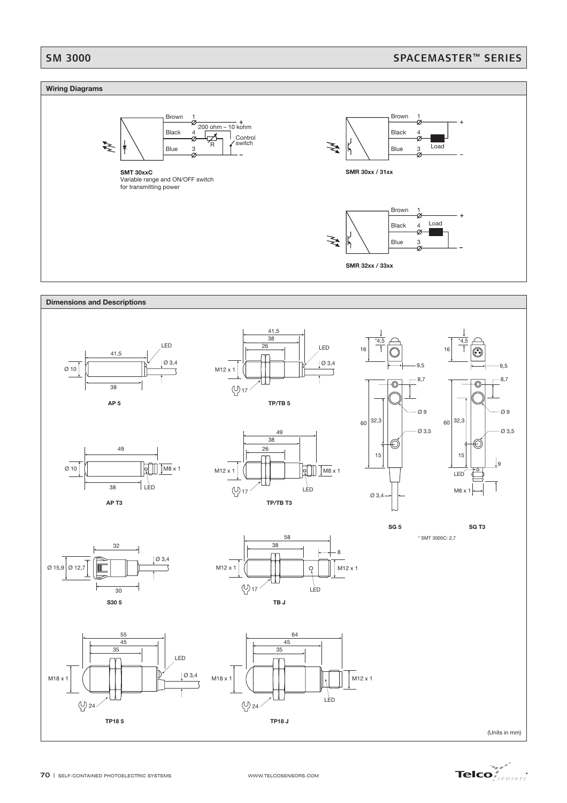# SM 3000 SPACEMASTER™ SERIES

### **Wiring Diagrams**